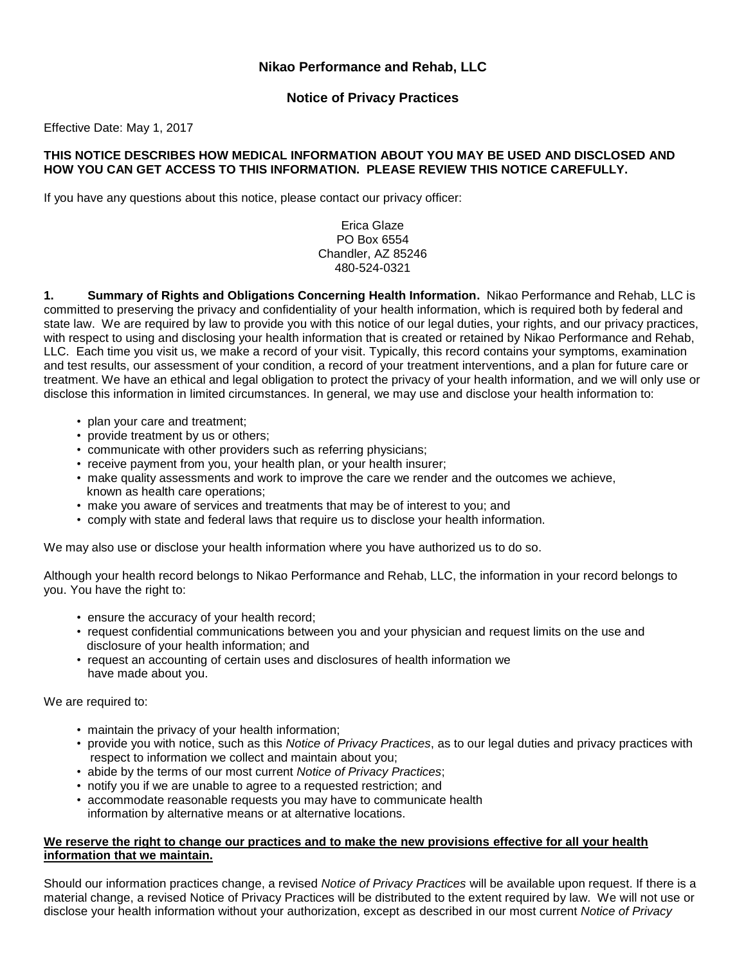# **Nikao Performance and Rehab, LLC**

# **Notice of Privacy Practices**

Effective Date: May 1, 2017

#### **THIS NOTICE DESCRIBES HOW MEDICAL INFORMATION ABOUT YOU MAY BE USED AND DISCLOSED AND HOW YOU CAN GET ACCESS TO THIS INFORMATION. PLEASE REVIEW THIS NOTICE CAREFULLY.**

If you have any questions about this notice, please contact our privacy officer:

### Erica Glaze PO Box 6554 Chandler, AZ 85246 480-524-0321

**1. Summary of Rights and Obligations Concerning Health Information.** Nikao Performance and Rehab, LLC is committed to preserving the privacy and confidentiality of your health information, which is required both by federal and state law. We are required by law to provide you with this notice of our legal duties, your rights, and our privacy practices, with respect to using and disclosing your health information that is created or retained by Nikao Performance and Rehab, LLC. Each time you visit us, we make a record of your visit. Typically, this record contains your symptoms, examination and test results, our assessment of your condition, a record of your treatment interventions, and a plan for future care or treatment. We have an ethical and legal obligation to protect the privacy of your health information, and we will only use or disclose this information in limited circumstances. In general, we may use and disclose your health information to:

- plan your care and treatment;
- provide treatment by us or others;
- communicate with other providers such as referring physicians;
- receive payment from you, your health plan, or your health insurer;
- make quality assessments and work to improve the care we render and the outcomes we achieve, known as health care operations;
- make you aware of services and treatments that may be of interest to you; and
- comply with state and federal laws that require us to disclose your health information.

We may also use or disclose your health information where you have authorized us to do so.

Although your health record belongs to Nikao Performance and Rehab, LLC, the information in your record belongs to you. You have the right to:

- ensure the accuracy of your health record;
- request confidential communications between you and your physician and request limits on the use and disclosure of your health information; and
- request an accounting of certain uses and disclosures of health information we have made about you.

We are required to:

- maintain the privacy of your health information;
- provide you with notice, such as this *Notice of Privacy Practices*, as to our legal duties and privacy practices with respect to information we collect and maintain about you;
- abide by the terms of our most current *Notice of Privacy Practices*;
- notify you if we are unable to agree to a requested restriction; and
- accommodate reasonable requests you may have to communicate health information by alternative means or at alternative locations.

#### **We reserve the right to change our practices and to make the new provisions effective for all your health information that we maintain.**

Should our information practices change, a revised *Notice of Privacy Practices* will be available upon request. If there is a material change, a revised Notice of Privacy Practices will be distributed to the extent required by law. We will not use or disclose your health information without your authorization, except as described in our most current *Notice of Privacy*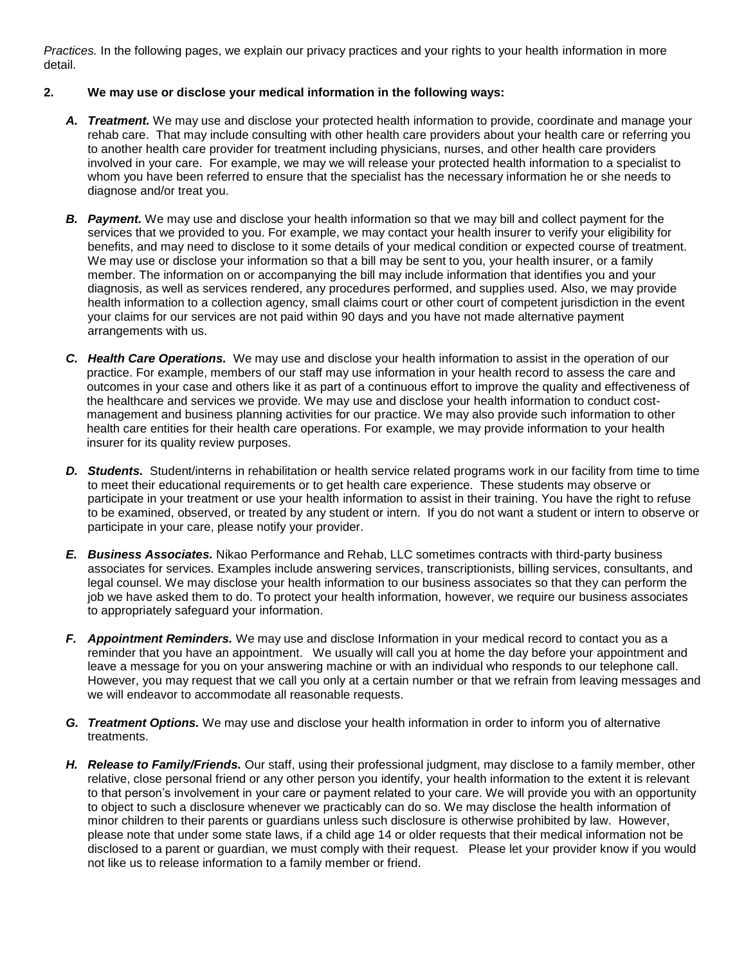*Practices.* In the following pages, we explain our privacy practices and your rights to your health information in more detail.

#### **2. We may use or disclose your medical information in the following ways:**

- *A. Treatment.* We may use and disclose your protected health information to provide, coordinate and manage your rehab care. That may include consulting with other health care providers about your health care or referring you to another health care provider for treatment including physicians, nurses, and other health care providers involved in your care. For example, we may we will release your protected health information to a specialist to whom you have been referred to ensure that the specialist has the necessary information he or she needs to diagnose and/or treat you.
- *B. Payment.* We may use and disclose your health information so that we may bill and collect payment for the services that we provided to you. For example, we may contact your health insurer to verify your eligibility for benefits, and may need to disclose to it some details of your medical condition or expected course of treatment. We may use or disclose your information so that a bill may be sent to you, your health insurer, or a family member. The information on or accompanying the bill may include information that identifies you and your diagnosis, as well as services rendered, any procedures performed, and supplies used. Also, we may provide health information to a collection agency, small claims court or other court of competent jurisdiction in the event your claims for our services are not paid within 90 days and you have not made alternative payment arrangements with us.
- *C. Health Care Operations.* We may use and disclose your health information to assist in the operation of our practice. For example, members of our staff may use information in your health record to assess the care and outcomes in your case and others like it as part of a continuous effort to improve the quality and effectiveness of the healthcare and services we provide. We may use and disclose your health information to conduct costmanagement and business planning activities for our practice. We may also provide such information to other health care entities for their health care operations. For example, we may provide information to your health insurer for its quality review purposes.
- *D. Students.* Student/interns in rehabilitation or health service related programs work in our facility from time to time to meet their educational requirements or to get health care experience. These students may observe or participate in your treatment or use your health information to assist in their training. You have the right to refuse to be examined, observed, or treated by any student or intern. If you do not want a student or intern to observe or participate in your care, please notify your provider.
- *E. Business Associates.* Nikao Performance and Rehab, LLC sometimes contracts with third-party business associates for services. Examples include answering services, transcriptionists, billing services, consultants, and legal counsel. We may disclose your health information to our business associates so that they can perform the job we have asked them to do. To protect your health information, however, we require our business associates to appropriately safeguard your information.
- *F. Appointment Reminders.* We may use and disclose Information in your medical record to contact you as a reminder that you have an appointment. We usually will call you at home the day before your appointment and leave a message for you on your answering machine or with an individual who responds to our telephone call. However, you may request that we call you only at a certain number or that we refrain from leaving messages and we will endeavor to accommodate all reasonable requests.
- *G. Treatment Options.* We may use and disclose your health information in order to inform you of alternative treatments.
- *H. Release to Family/Friends.* Our staff, using their professional judgment, may disclose to a family member, other relative, close personal friend or any other person you identify, your health information to the extent it is relevant to that person's involvement in your care or payment related to your care. We will provide you with an opportunity to object to such a disclosure whenever we practicably can do so. We may disclose the health information of minor children to their parents or guardians unless such disclosure is otherwise prohibited by law. However, please note that under some state laws, if a child age 14 or older requests that their medical information not be disclosed to a parent or guardian, we must comply with their request. Please let your provider know if you would not like us to release information to a family member or friend.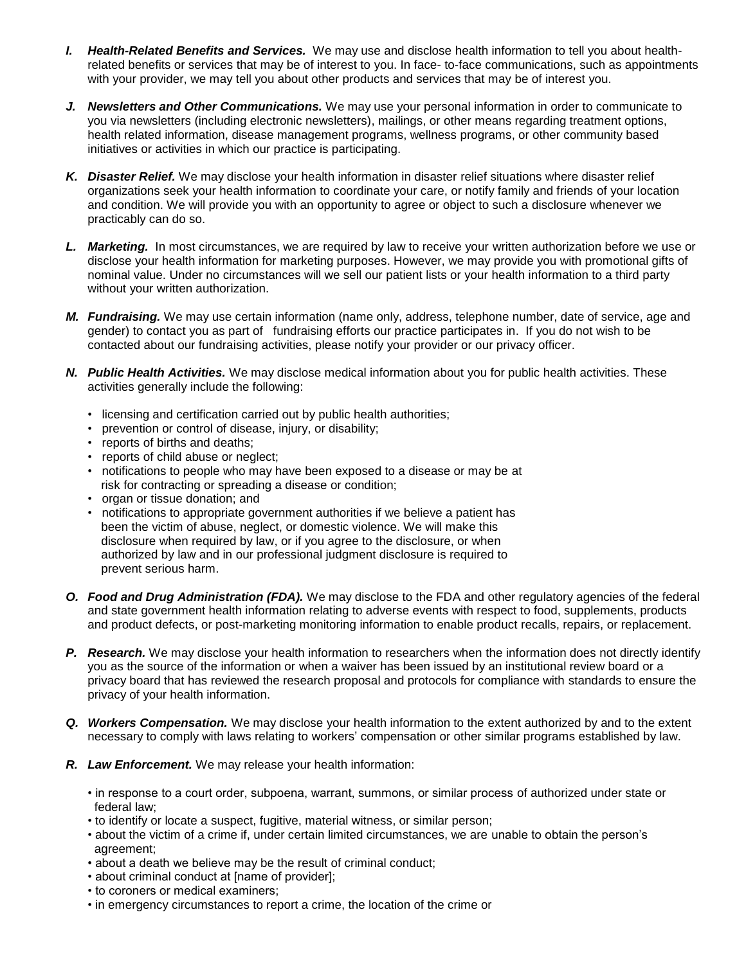- *I. Health-Related Benefits and Services.* We may use and disclose health information to tell you about healthrelated benefits or services that may be of interest to you. In face- to-face communications, such as appointments with your provider, we may tell you about other products and services that may be of interest you.
- *J. Newsletters and Other Communications.* We may use your personal information in order to communicate to you via newsletters (including electronic newsletters), mailings, or other means regarding treatment options, health related information, disease management programs, wellness programs, or other community based initiatives or activities in which our practice is participating.
- *K. Disaster Relief.* We may disclose your health information in disaster relief situations where disaster relief organizations seek your health information to coordinate your care, or notify family and friends of your location and condition. We will provide you with an opportunity to agree or object to such a disclosure whenever we practicably can do so.
- *L. Marketing.* In most circumstances, we are required by law to receive your written authorization before we use or disclose your health information for marketing purposes. However, we may provide you with promotional gifts of nominal value. Under no circumstances will we sell our patient lists or your health information to a third party without your written authorization.
- *M. Fundraising.* We may use certain information (name only, address, telephone number, date of service, age and gender) to contact you as part of fundraising efforts our practice participates in. If you do not wish to be contacted about our fundraising activities, please notify your provider or our privacy officer.
- *N. Public Health Activities.* We may disclose medical information about you for public health activities. These activities generally include the following:
	- licensing and certification carried out by public health authorities;
	- prevention or control of disease, injury, or disability;
	- reports of births and deaths;
	- reports of child abuse or neglect;
	- notifications to people who may have been exposed to a disease or may be at risk for contracting or spreading a disease or condition;
	- organ or tissue donation: and
	- notifications to appropriate government authorities if we believe a patient has been the victim of abuse, neglect, or domestic violence. We will make this disclosure when required by law, or if you agree to the disclosure, or when authorized by law and in our professional judgment disclosure is required to prevent serious harm.
- *O. Food and Drug Administration (FDA).* We may disclose to the FDA and other regulatory agencies of the federal and state government health information relating to adverse events with respect to food, supplements, products and product defects, or post-marketing monitoring information to enable product recalls, repairs, or replacement.
- *P. Research.* We may disclose your health information to researchers when the information does not directly identify you as the source of the information or when a waiver has been issued by an institutional review board or a privacy board that has reviewed the research proposal and protocols for compliance with standards to ensure the privacy of your health information.
- *Q. Workers Compensation.* We may disclose your health information to the extent authorized by and to the extent necessary to comply with laws relating to workers' compensation or other similar programs established by law.
- *R. Law Enforcement.* We may release your health information:
	- in response to a court order, subpoena, warrant, summons, or similar process of authorized under state or federal law;
	- to identify or locate a suspect, fugitive, material witness, or similar person;
	- about the victim of a crime if, under certain limited circumstances, we are unable to obtain the person's agreement;
	- about a death we believe may be the result of criminal conduct;
	- about criminal conduct at [name of provider];
	- to coroners or medical examiners;
	- in emergency circumstances to report a crime, the location of the crime or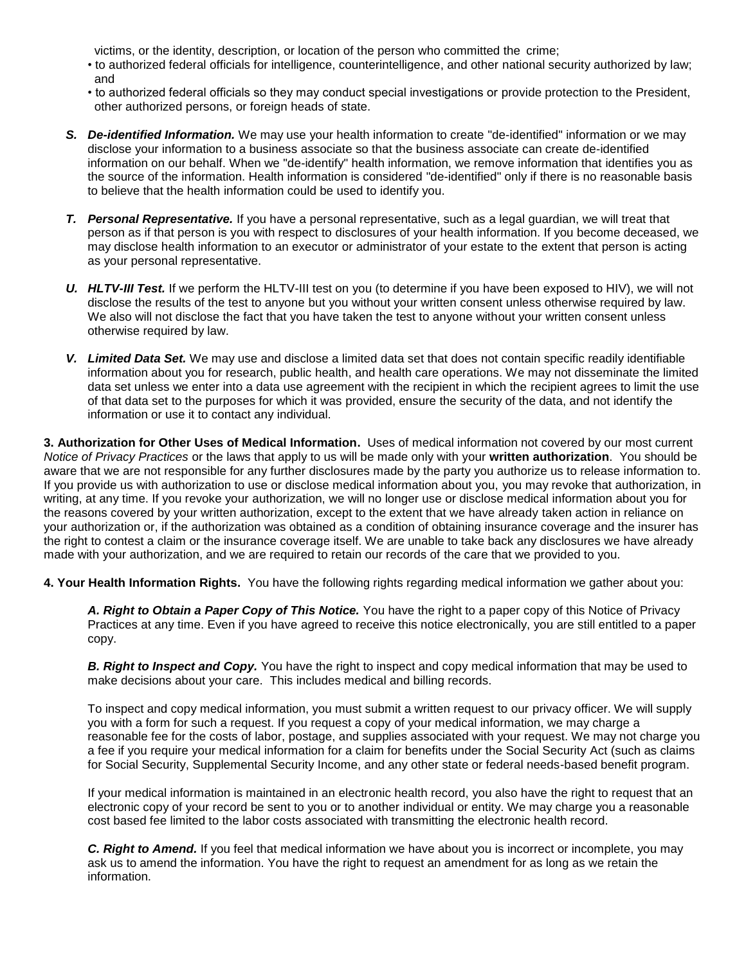victims, or the identity, description, or location of the person who committed the crime;

- to authorized federal officials for intelligence, counterintelligence, and other national security authorized by law; and
- to authorized federal officials so they may conduct special investigations or provide protection to the President, other authorized persons, or foreign heads of state.
- *S. De-identified Information.* We may use your health information to create "de-identified" information or we may disclose your information to a business associate so that the business associate can create de-identified information on our behalf. When we "de-identify" health information, we remove information that identifies you as the source of the information. Health information is considered "de-identified" only if there is no reasonable basis to believe that the health information could be used to identify you.
- *T. Personal Representative.* If you have a personal representative, such as a legal guardian, we will treat that person as if that person is you with respect to disclosures of your health information. If you become deceased, we may disclose health information to an executor or administrator of your estate to the extent that person is acting as your personal representative.
- *U. HLTV-III Test.* If we perform the HLTV-III test on you (to determine if you have been exposed to HIV), we will not disclose the results of the test to anyone but you without your written consent unless otherwise required by law. We also will not disclose the fact that you have taken the test to anyone without your written consent unless otherwise required by law.
- *V. Limited Data Set.* We may use and disclose a limited data set that does not contain specific readily identifiable information about you for research, public health, and health care operations. We may not disseminate the limited data set unless we enter into a data use agreement with the recipient in which the recipient agrees to limit the use of that data set to the purposes for which it was provided, ensure the security of the data, and not identify the information or use it to contact any individual.

**3. Authorization for Other Uses of Medical Information.** Uses of medical information not covered by our most current *Notice of Privacy Practices* or the laws that apply to us will be made only with your **written authorization**. You should be aware that we are not responsible for any further disclosures made by the party you authorize us to release information to. If you provide us with authorization to use or disclose medical information about you, you may revoke that authorization, in writing, at any time. If you revoke your authorization, we will no longer use or disclose medical information about you for the reasons covered by your written authorization, except to the extent that we have already taken action in reliance on your authorization or, if the authorization was obtained as a condition of obtaining insurance coverage and the insurer has the right to contest a claim or the insurance coverage itself. We are unable to take back any disclosures we have already made with your authorization, and we are required to retain our records of the care that we provided to you.

**4. Your Health Information Rights.** You have the following rights regarding medical information we gather about you:

*A. Right to Obtain a Paper Copy of This Notice.* You have the right to a paper copy of this Notice of Privacy Practices at any time. Even if you have agreed to receive this notice electronically, you are still entitled to a paper copy.

*B. Right to Inspect and Copy.* You have the right to inspect and copy medical information that may be used to make decisions about your care. This includes medical and billing records.

To inspect and copy medical information, you must submit a written request to our privacy officer. We will supply you with a form for such a request. If you request a copy of your medical information, we may charge a reasonable fee for the costs of labor, postage, and supplies associated with your request. We may not charge you a fee if you require your medical information for a claim for benefits under the Social Security Act (such as claims for Social Security, Supplemental Security Income, and any other state or federal needs-based benefit program.

If your medical information is maintained in an electronic health record, you also have the right to request that an electronic copy of your record be sent to you or to another individual or entity. We may charge you a reasonable cost based fee limited to the labor costs associated with transmitting the electronic health record.

*C. Right to Amend.* If you feel that medical information we have about you is incorrect or incomplete, you may ask us to amend the information. You have the right to request an amendment for as long as we retain the information.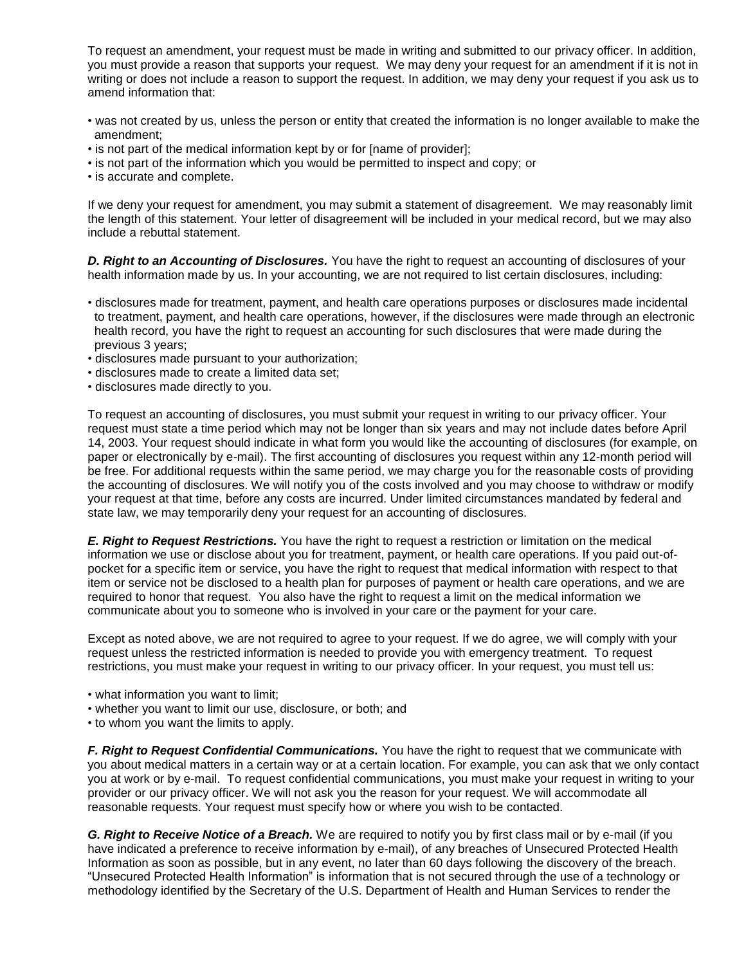To request an amendment, your request must be made in writing and submitted to our privacy officer. In addition, you must provide a reason that supports your request. We may deny your request for an amendment if it is not in writing or does not include a reason to support the request. In addition, we may deny your request if you ask us to amend information that:

- was not created by us, unless the person or entity that created the information is no longer available to make the amendment;
- is not part of the medical information kept by or for [name of provider];
- is not part of the information which you would be permitted to inspect and copy; or
- is accurate and complete.

If we deny your request for amendment, you may submit a statement of disagreement. We may reasonably limit the length of this statement. Your letter of disagreement will be included in your medical record, but we may also include a rebuttal statement.

*D. Right to an Accounting of Disclosures.* You have the right to request an accounting of disclosures of your health information made by us. In your accounting, we are not required to list certain disclosures, including:

- disclosures made for treatment, payment, and health care operations purposes or disclosures made incidental to treatment, payment, and health care operations, however, if the disclosures were made through an electronic health record, you have the right to request an accounting for such disclosures that were made during the previous 3 years;
- disclosures made pursuant to your authorization;
- disclosures made to create a limited data set;
- disclosures made directly to you.

To request an accounting of disclosures, you must submit your request in writing to our privacy officer. Your request must state a time period which may not be longer than six years and may not include dates before April 14, 2003. Your request should indicate in what form you would like the accounting of disclosures (for example, on paper or electronically by e-mail). The first accounting of disclosures you request within any 12-month period will be free. For additional requests within the same period, we may charge you for the reasonable costs of providing the accounting of disclosures. We will notify you of the costs involved and you may choose to withdraw or modify your request at that time, before any costs are incurred. Under limited circumstances mandated by federal and state law, we may temporarily deny your request for an accounting of disclosures.

*E. Right to Request Restrictions.* You have the right to request a restriction or limitation on the medical information we use or disclose about you for treatment, payment, or health care operations. If you paid out-ofpocket for a specific item or service, you have the right to request that medical information with respect to that item or service not be disclosed to a health plan for purposes of payment or health care operations, and we are required to honor that request. You also have the right to request a limit on the medical information we communicate about you to someone who is involved in your care or the payment for your care.

Except as noted above, we are not required to agree to your request. If we do agree, we will comply with your request unless the restricted information is needed to provide you with emergency treatment. To request restrictions, you must make your request in writing to our privacy officer. In your request, you must tell us:

- what information you want to limit;
- whether you want to limit our use, disclosure, or both; and
- to whom you want the limits to apply.

*F. Right to Request Confidential Communications.* You have the right to request that we communicate with you about medical matters in a certain way or at a certain location. For example, you can ask that we only contact you at work or by e-mail. To request confidential communications, you must make your request in writing to your provider or our privacy officer. We will not ask you the reason for your request. We will accommodate all reasonable requests. Your request must specify how or where you wish to be contacted.

*G. Right to Receive Notice of a Breach.* We are required to notify you by first class mail or by e-mail (if you have indicated a preference to receive information by e-mail), of any breaches of Unsecured Protected Health Information as soon as possible, but in any event, no later than 60 days following the discovery of the breach. "Unsecured Protected Health Information" is information that is not secured through the use of a technology or methodology identified by the Secretary of the U.S. Department of Health and Human Services to render the